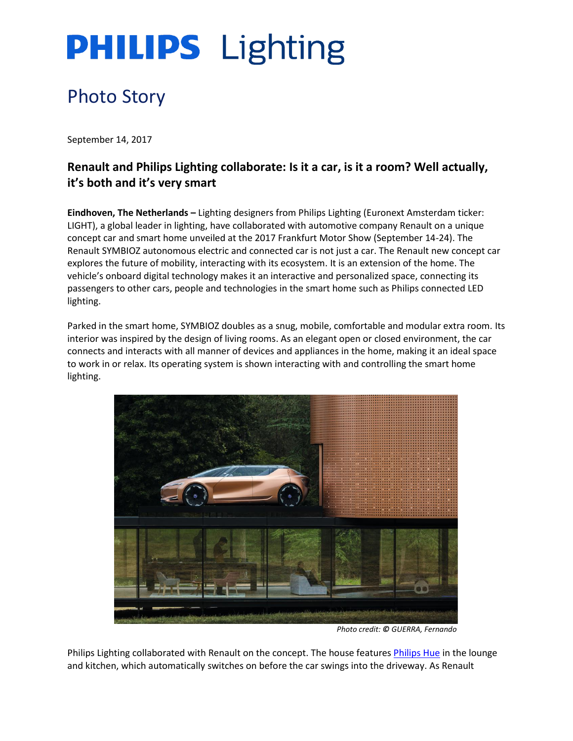# **PHILIPS** Lighting

### Photo Story

September 14, 2017

### **Renault and Philips Lighting collaborate: Is it a car, is it a room? Well actually, it's both and it's very smart**

**Eindhoven, The Netherlands –** Lighting designers from Philips Lighting (Euronext Amsterdam ticker: LIGHT), a global leader in lighting, have collaborated with automotive company Renault on a unique concept car and smart home unveiled at the 2017 Frankfurt Motor Show (September 14-24). The Renault SYMBIOZ autonomous electric and connected car is not just a car. The Renault new concept car explores the future of mobility, interacting with its ecosystem. It is an extension of the home. The vehicle's onboard digital technology makes it an interactive and personalized space, connecting its passengers to other cars, people and technologies in the smart home such as Philips connected LED lighting.

Parked in the smart home, SYMBIOZ doubles as a snug, mobile, comfortable and modular extra room. Its interior was inspired by the design of living rooms. As an elegant open or closed environment, the car connects and interacts with all manner of devices and appliances in the home, making it an ideal space to work in or relax. Its operating system is shown interacting with and controlling the smart home lighting.



*Photo credit: © GUERRA, Fernando*

Philips Lighting collaborated with Renault on the concept. The house feature[s Philips Hue](http://www2.meethue.com/en-us) in the lounge and kitchen, which automatically switches on before the car swings into the driveway. As Renault